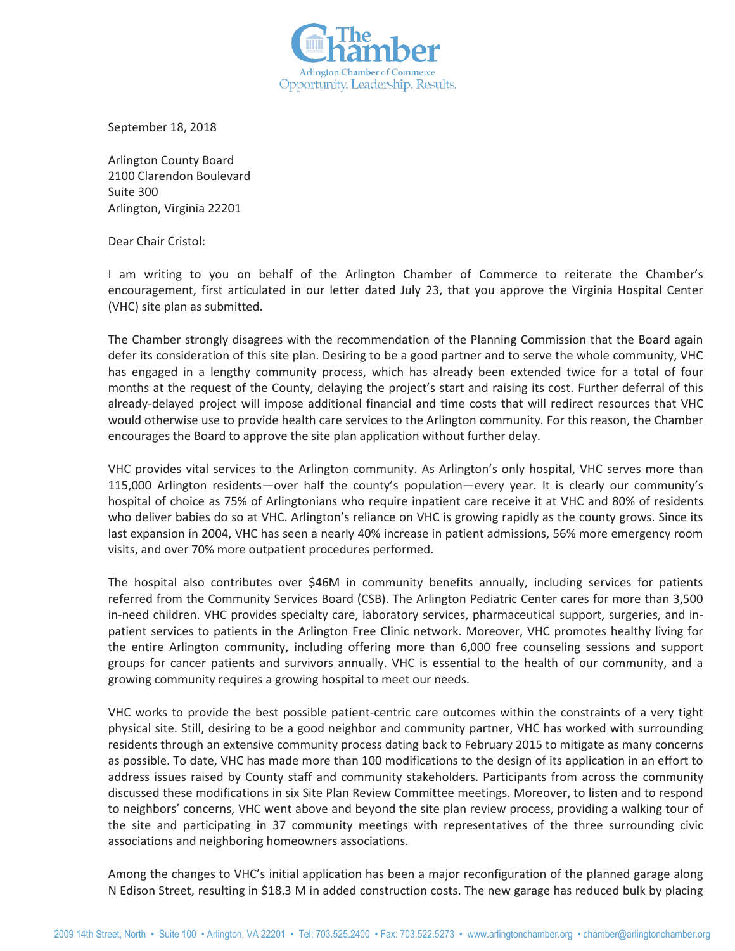

September 18, 2018

Arlington County Board 2100 Clarendon Boulevard Suite 300 Arlington, Virginia 22201

Dear Chair Cristol:

I am writing to you on behalf of the Arlington Chamber of Commerce to reiterate the Chamber's encouragement, first articulated in our letter dated July 23, that you approve the Virginia Hospital Center (VHC) site plan as submitted.

The Chamber strongly disagrees with the recommendation of the Planning Commission that the Board again defer its consideration of this site plan. Desiring to be a good partner and to serve the whole community, VHC has engaged in a lengthy community process, which has already been extended twice for a total of four months at the request of the County, delaying the project's start and raising its cost. Further deferral of this already-delayed project will impose additional financial and time costs that will redirect resources that VHC would otherwise use to provide health care services to the Arlington community. For this reason, the Chamber encourages the Board to approve the site plan application without further delay.

VHC provides vital services to the Arlington community. As Arlington's only hospital, VHC serves more than 115,000 Arlington residents—over half the county's population—every year. It is clearly our community's hospital of choice as 75% of Arlingtonians who require inpatient care receive it at VHC and 80% of residents who deliver babies do so at VHC. Arlington's reliance on VHC is growing rapidly as the county grows. Since its last expansion in 2004, VHC has seen a nearly 40% increase in patient admissions, 56% more emergency room visits, and over 70% more outpatient procedures performed.

The hospital also contributes over \$46M in community benefits annually, including services for patients referred from the Community Services Board (CSB). The Arlington Pediatric Center cares for more than 3,500 in-need children. VHC provides specialty care, laboratory services, pharmaceutical support, surgeries, and inpatient services to patients in the Arlington Free Clinic network. Moreover, VHC promotes healthy living for the entire Arlington community, including offering more than 6,000 free counseling sessions and support groups for cancer patients and survivors annually. VHC is essential to the health of our community, and a growing community requires a growing hospital to meet our needs.

VHC works to provide the best possible patient-centric care outcomes within the constraints of a very tight physical site. Still, desiring to be a good neighbor and community partner, VHC has worked with surrounding residents through an extensive community process dating back to February 2015 to mitigate as many concerns as possible. To date, VHC has made more than 100 modifications to the design of its application in an effort to address issues raised by County staff and community stakeholders. Participants from across the community discussed these modifications in six Site Plan Review Committee meetings. Moreover, to listen and to respond to neighbors' concerns, VHC went above and beyond the site plan review process, providing a walking tour of the site and participating in 37 community meetings with representatives of the three surrounding civic associations and neighboring homeowners associations.

Among the changes to VHC's initial application has been a major reconfiguration of the planned garage along N Edison Street, resulting in \$18.3 M in added construction costs. The new garage has reduced bulk by placing